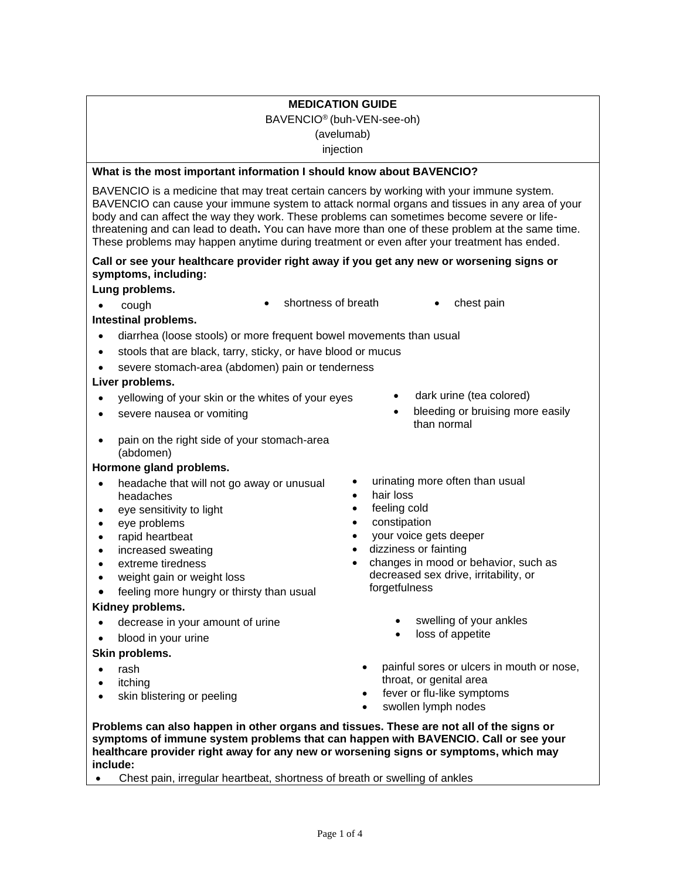# **MEDICATION GUIDE** BAVENCIO® (buh-VEN-see-oh) (avelumab) injection

# **What is the most important information I should know about BAVENCIO?**

BAVENCIO is a medicine that may treat certain cancers by working with your immune system. BAVENCIO can cause your immune system to attack normal organs and tissues in any area of your body and can affect the way they work. These problems can sometimes become severe or lifethreatening and can lead to death**.** You can have more than one of these problem at the same time. These problems may happen anytime during treatment or even after your treatment has ended.

## **Call or see your healthcare provider right away if you get any new or worsening signs or symptoms, including:**

# **Lung problems.**

- cough shortness of breath chest pain
- 

# **Intestinal problems.**

- diarrhea (loose stools) or more frequent bowel movements than usual
- stools that are black, tarry, sticky, or have blood or mucus
- severe stomach-area (abdomen) pain or tenderness

# **Liver problems.**

- yellowing of your skin or the whites of your eyes dark urine (tea colored)
- 
- pain on the right side of your stomach-area (abdomen)

### **Hormone gland problems.**

- headache that will not go away or unusual headaches
- eye sensitivity to light
- eye problems
- rapid heartbeat
- increased sweating
- extreme tiredness
- weight gain or weight loss
- feeling more hungry or thirsty than usual

### **Kidney problems.**

- decrease in your amount of urine swelling of your ankles<br>• blood in your urine
- blood in your urine

# **Skin problems.**

- rash
- *itching*
- skin blistering or peeling
- severe nausea or vomiting entity and the severe nauseally bleeding or bruising more easily than normal
	- urinating more often than usual
	- hair loss
	- feeling cold
	- constipation
	- your voice gets deeper
	- dizziness or fainting
	- changes in mood or behavior, such as decreased sex drive, irritability, or forgetfulness
		-
		-
		- painful sores or ulcers in mouth or nose, throat, or genital area
		- fever or flu-like symptoms
		- swollen lymph nodes

**Problems can also happen in other organs and tissues. These are not all of the signs or symptoms of immune system problems that can happen with BAVENCIO. Call or see your healthcare provider right away for any new or worsening signs or symptoms, which may include:**

• Chest pain, irregular heartbeat, shortness of breath or swelling of ankles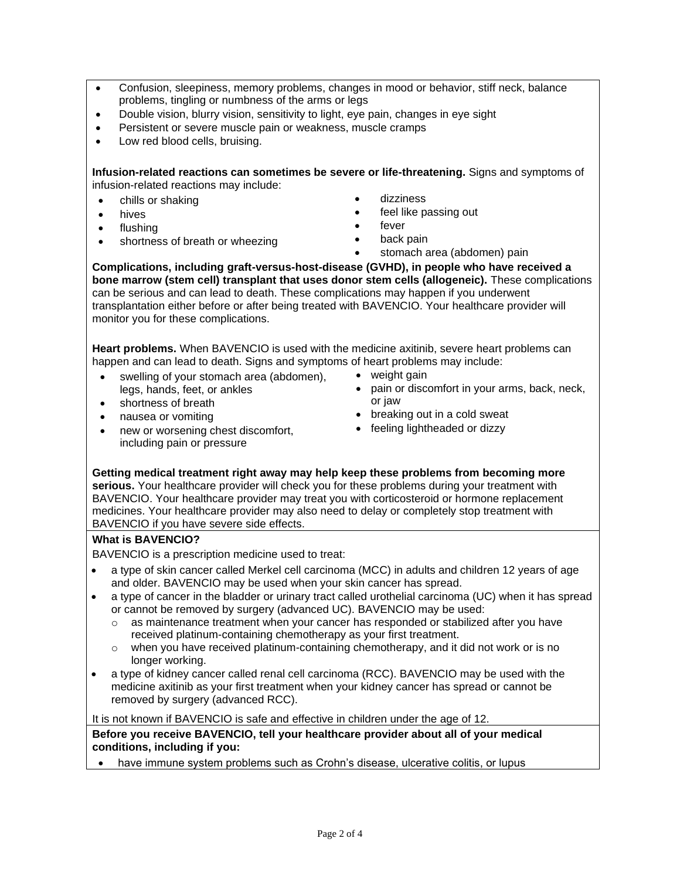- Confusion, sleepiness, memory problems, changes in mood or behavior, stiff neck, balance problems, tingling or numbness of the arms or legs
- Double vision, blurry vision, sensitivity to light, eye pain, changes in eye sight
- Persistent or severe muscle pain or weakness, muscle cramps
- Low red blood cells, bruising.

**Infusion-related reactions can sometimes be severe or life-threatening.** Signs and symptoms of infusion-related reactions may include:

- chills or shaking
- hives
- flushing
- shortness of breath or wheezing
- dizziness
- feel like passing out
- fever
- back pain
- stomach area (abdomen) pain

**Complications, including graft-versus-host-disease (GVHD), in people who have received a bone marrow (stem cell) transplant that uses donor stem cells (allogeneic).** These complications can be serious and can lead to death. These complications may happen if you underwent transplantation either before or after being treated with BAVENCIO. Your healthcare provider will monitor you for these complications.

**Heart problems.** When BAVENCIO is used with the medicine axitinib, severe heart problems can happen and can lead to death. Signs and symptoms of heart problems may include:

- swelling of your stomach area (abdomen), legs, hands, feet, or ankles • shortness of breath
- weight gain
- pain or discomfort in your arms, back, neck, or jaw
- nausea or vomiting
- new or worsening chest discomfort, including pain or pressure
- breaking out in a cold sweat
- feeling lightheaded or dizzy

**Getting medical treatment right away may help keep these problems from becoming more serious.** Your healthcare provider will check you for these problems during your treatment with BAVENCIO. Your healthcare provider may treat you with corticosteroid or hormone replacement medicines. Your healthcare provider may also need to delay or completely stop treatment with BAVENCIO if you have severe side effects.

#### **What is BAVENCIO?**

BAVENCIO is a prescription medicine used to treat:

- a type of skin cancer called Merkel cell carcinoma (MCC) in adults and children 12 years of age and older. BAVENCIO may be used when your skin cancer has spread.
- a type of cancer in the bladder or urinary tract called urothelial carcinoma (UC) when it has spread or cannot be removed by surgery (advanced UC). BAVENCIO may be used:
	- o as maintenance treatment when your cancer has responded or stabilized after you have received platinum-containing chemotherapy as your first treatment.
	- $\circ$  when you have received platinum-containing chemotherapy, and it did not work or is no longer working.
- a type of kidney cancer called renal cell carcinoma (RCC). BAVENCIO may be used with the medicine axitinib as your first treatment when your kidney cancer has spread or cannot be removed by surgery (advanced RCC).

It is not known if BAVENCIO is safe and effective in children under the age of 12.

**Before you receive BAVENCIO, tell your healthcare provider about all of your medical conditions, including if you:**

have immune system problems such as Crohn's disease, ulcerative colitis, or lupus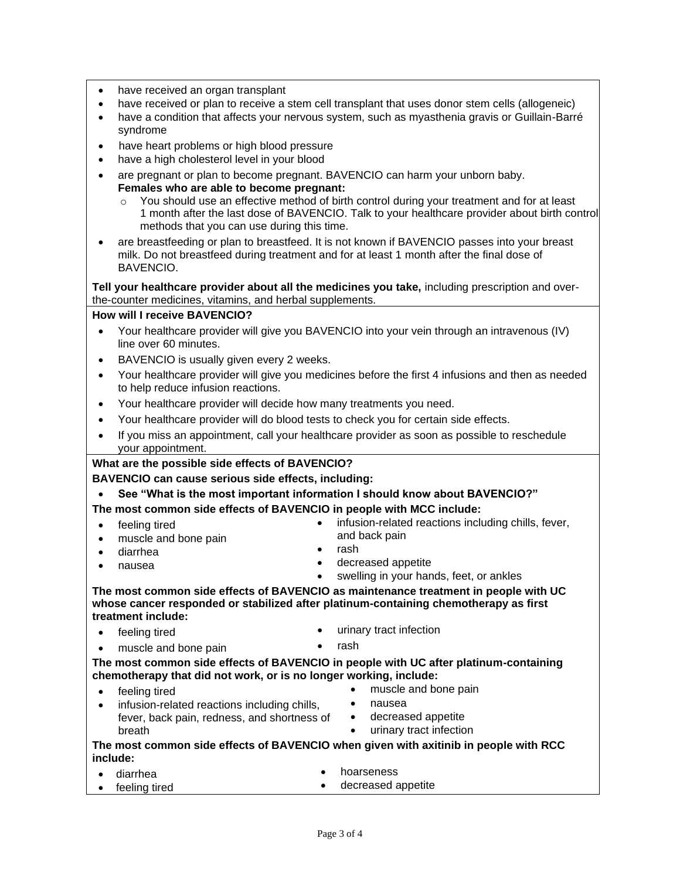- have received an organ transplant
- have received or plan to receive a stem cell transplant that uses donor stem cells (allogeneic)
- have a condition that affects your nervous system, such as myasthenia gravis or Guillain-Barré syndrome
- have heart problems or high blood pressure
- have a high cholesterol level in your blood
- are pregnant or plan to become pregnant. BAVENCIO can harm your unborn baby. **Females who are able to become pregnant:**
	- o You should use an effective method of birth control during your treatment and for at least 1 month after the last dose of BAVENCIO. Talk to your healthcare provider about birth control methods that you can use during this time.
- are breastfeeding or plan to breastfeed. It is not known if BAVENCIO passes into your breast milk. Do not breastfeed during treatment and for at least 1 month after the final dose of BAVENCIO.

**Tell your healthcare provider about all the medicines you take,** including prescription and overthe-counter medicines, vitamins, and herbal supplements.

#### **How will I receive BAVENCIO?**

- Your healthcare provider will give you BAVENCIO into your vein through an intravenous (IV) line over 60 minutes.
- BAVENCIO is usually given every 2 weeks.
- Your healthcare provider will give you medicines before the first 4 infusions and then as needed to help reduce infusion reactions.
- Your healthcare provider will decide how many treatments you need.
- Your healthcare provider will do blood tests to check you for certain side effects.
- If you miss an appointment, call your healthcare provider as soon as possible to reschedule your appointment.

#### **What are the possible side effects of BAVENCIO?**

**BAVENCIO can cause serious side effects, including:**

- **See "What is the most important information I should know about BAVENCIO?"**
- **The most common side effects of BAVENCIO in people with MCC include:**
- feeling tired
	- muscle and bone pain
- diarrhea
- nausea
- rash
- decreased appetite

and back pain

• swelling in your hands, feet, or ankles

• infusion-related reactions including chills, fever,

**The most common side effects of BAVENCIO as maintenance treatment in people with UC whose cancer responded or stabilized after platinum-containing chemotherapy as first treatment include:**

- feeling tired **•** urinary tract infection
	- muscle and bone pain **•** rash

**The most common side effects of BAVENCIO in people with UC after platinum-containing chemotherapy that did not work, or is no longer working, include:**

- feeling tired
- infusion-related reactions including chills, fever, back pain, redness, and shortness of breath
- muscle and bone pain
- nausea
- decreased appetite
- urinary tract infection

| The most common side effects of BAVENCIO when given with axitinib in people with RCC |  |
|--------------------------------------------------------------------------------------|--|
| include:                                                                             |  |

- diarrhea • hoarseness
- feeling tired • decreased appetite